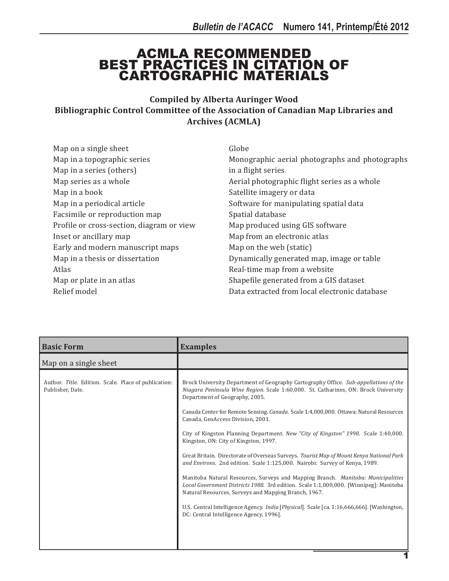## ACMLA RECOMMENDED BEST PRACTICES IN CITATION OF CARTOGRAPHIC MATERIALS

**Compiled by Alberta Auringer Wood Bibliographic Control Committee of the Association of Canadian Map Libraries and Archives (ACMLA)**

| Map on a single sheet                     | Globe                                          |
|-------------------------------------------|------------------------------------------------|
| Map in a topographic series               | Monographic aerial photographs and photographs |
| Map in a series (others)                  | in a flight series                             |
| Map series as a whole                     | Aerial photographic flight series as a whole   |
| Map in a book                             | Satellite imagery or data                      |
| Map in a periodical article               | Software for manipulating spatial data         |
| Facsimile or reproduction map             | Spatial database                               |
| Profile or cross-section, diagram or view | Map produced using GIS software                |
| Inset or ancillary map                    | Map from an electronic atlas                   |
| Early and modern manuscript maps          | Map on the web (static)                        |
| Map in a thesis or dissertation           | Dynamically generated map, image or table      |
| Atlas                                     | Real-time map from a website                   |
| Map or plate in an atlas                  | Shapefile generated from a GIS dataset         |
| Relief model                              | Data extracted from local electronic database  |

| <b>Basic Form</b>                                                        | <b>Examples</b>                                                                                                                                                                                                                                                                                                                                                                                                                                                                                                                                                                                                                                                                                                                                                                                                                                                                                                                                                                                                                      |
|--------------------------------------------------------------------------|--------------------------------------------------------------------------------------------------------------------------------------------------------------------------------------------------------------------------------------------------------------------------------------------------------------------------------------------------------------------------------------------------------------------------------------------------------------------------------------------------------------------------------------------------------------------------------------------------------------------------------------------------------------------------------------------------------------------------------------------------------------------------------------------------------------------------------------------------------------------------------------------------------------------------------------------------------------------------------------------------------------------------------------|
| Map on a single sheet                                                    |                                                                                                                                                                                                                                                                                                                                                                                                                                                                                                                                                                                                                                                                                                                                                                                                                                                                                                                                                                                                                                      |
| Author. Title. Edition. Scale. Place of publication:<br>Publisher, Date. | Brock University Department of Geography Cartography Office. Sub-appellations of the<br>Niagara Peninsula Wine Region. Scale 1:60,000. St. Catharines, ON: Brock University<br>Department of Geography, 2005.<br>Canada Center for Remote Sensing. Canada. Scale 1:4,000,000. Ottawa: Natural Resources<br>Canada, GeoAccess Division, 2001.<br>City of Kingston Planning Department. New "City of Kingston" 1998. Scale 1:40,000.<br>Kingston, ON: City of Kingston, 1997.<br>Great Britain. Directorate of Overseas Surveys. Tourist Map of Mount Kenya National Park<br>and Environs. 2nd edition. Scale 1:125,000. Nairobi: Survey of Kenya, 1989.<br>Manitoba Natural Resources, Surveys and Mapping Branch. Manitoba: Municipalities<br>Local Government Districts 1988. 3rd edition. Scale 1:1,000,000. [Winnipeg]: Manitoba<br>Natural Resources, Surveys and Mapping Branch, 1967.<br>U.S. Central Intelligence Agency. India [Physical]. Scale [ca. 1:16,666,666]. [Washington,<br>DC: Central Intelligence Agency, 1996]. |
|                                                                          |                                                                                                                                                                                                                                                                                                                                                                                                                                                                                                                                                                                                                                                                                                                                                                                                                                                                                                                                                                                                                                      |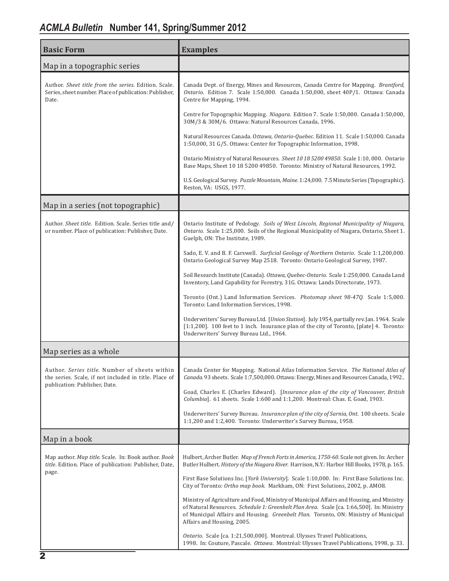## *ACMLA Bulletin* **Number 141, Spring/Summer 2012**

| <b>Basic Form</b>                                                                                                                       | <b>Examples</b>                                                                                                                                                                                                                                                                                              |
|-----------------------------------------------------------------------------------------------------------------------------------------|--------------------------------------------------------------------------------------------------------------------------------------------------------------------------------------------------------------------------------------------------------------------------------------------------------------|
| Map in a topographic series                                                                                                             |                                                                                                                                                                                                                                                                                                              |
| Author. Sheet title from the series. Edition. Scale.<br>Series, sheet number. Place of publication: Publisher,<br>Date.                 | Canada Dept. of Energy, Mines and Resources, Canada Centre for Mapping. Brantford,<br>Ontario. Edition 7. Scale 1:50,000. Canada 1:50,000, sheet 40P/1. Ottawa: Canada<br>Centre for Mapping, 1994.                                                                                                          |
|                                                                                                                                         | Centre for Topographic Mapping. Niagara. Edition 7. Scale 1:50,000. Canada 1:50,000,<br>30M/3 & 30M/6. Ottawa: Natural Resources Canada, 1996.                                                                                                                                                               |
|                                                                                                                                         | Natural Resources Canada. Ottawa, Ontario-Quebec. Edition 11. Scale 1:50,000. Canada<br>1:50,000, 31 G/5. Ottawa: Center for Topographic Information, 1998.                                                                                                                                                  |
|                                                                                                                                         | Ontario Ministry of Natural Resources. Sheet 10 18 5200 49850. Scale 1:10,000. Ontario<br>Base Maps, Sheet 10 18 5200 49850. Toronto: Ministry of Natural Resources, 1992.                                                                                                                                   |
|                                                                                                                                         | U.S. Geological Survey. Puzzle Mountain, Maine. 1:24,000. 7.5 Minute Series (Topographic).<br>Reston, VA: USGS, 1977.                                                                                                                                                                                        |
| Map in a series (not topographic)                                                                                                       |                                                                                                                                                                                                                                                                                                              |
| Author. Sheet title. Edition. Scale. Series title and/<br>or number. Place of publication: Publisher, Date.                             | Ontario Institute of Pedology. Soils of West Lincoln, Regional Municipality of Niagara,<br>Ontario. Scale 1:25,000. Soils of the Regional Municipality of Niagara, Ontario, Sheet 1.<br>Guelph, ON: The Institute, 1989.                                                                                     |
|                                                                                                                                         | Sado, E. V. and B. F. Carswell. Surficial Geology of Northern Ontario. Scale 1:1,200,000.<br>Ontario Geological Survey Map 2518. Toronto: Ontario Geological Survey, 1987.                                                                                                                                   |
|                                                                                                                                         | Soil Research Institute (Canada). Ottawa, Quebec-Ontario. Scale 1:250,000. Canada Land<br>Inventory, Land Capability for Forestry, 31G. Ottawa: Lands Directorate, 1973.                                                                                                                                     |
|                                                                                                                                         | Toronto (Ont.) Land Information Services. Photomap sheet 98-47Q. Scale 1:5,000.<br>Toronto: Land Information Services, 1998.                                                                                                                                                                                 |
|                                                                                                                                         | Underwriters' Survey Bureau Ltd. [Union Station]. July 1954, partially rev. Jan. 1964. Scale<br>[1:1,200]. 100 feet to 1 inch. Insurance plan of the city of Toronto, [plate] 4. Toronto:<br>Underwriters' Survey Bureau Ltd., 1964.                                                                         |
| Map series as a whole                                                                                                                   |                                                                                                                                                                                                                                                                                                              |
| Author. Series title. Number of sheets within<br>the series. Scale, if not included in title. Place of<br>publication: Publisher, Date. | Canada Center for Mapping. National Atlas Information Service. The National Atlas of<br>Canada. 93 sheets. Scale 1:7,500,000. Ottawa: Energy, Mines and Resources Canada, 1992                                                                                                                               |
|                                                                                                                                         | Goad, Charles E. (Charles Edward). [Insurance plan of the city of Vancouver, British<br>Columbia]. 61 sheets. Scale 1:600 and 1:1,200. Montreal: Chas. E. Goad, 1903.                                                                                                                                        |
|                                                                                                                                         | Underwriters' Survey Bureau. Insurance plan of the city of Sarnia, Ont. 100 sheets. Scale<br>1:1,200 and 1:2,400. Toronto: Underwriter's Survey Bureau, 1958.                                                                                                                                                |
| Map in a book                                                                                                                           |                                                                                                                                                                                                                                                                                                              |
| Map author. Map title. Scale. In: Book author. Book<br>title. Edition. Place of publication: Publisher, Date,<br>page.                  | Hulbert, Archer Butler. Map of French Forts in America, 1750-60. Scale not given. In: Archer<br>Butler Hulbert. History of the Niagara River. Harrison, N.Y.: Harbor Hill Books, 1978, p. 165.                                                                                                               |
|                                                                                                                                         | First Base Solutions Inc. [York University]. Scale 1:10,000. In: First Base Solutions Inc.<br>City of Toronto: Ortho map book. Markham, ON: First Solutions, 2002, p. AMO8.                                                                                                                                  |
|                                                                                                                                         | Ministry of Agriculture and Food, Ministry of Municipal Affairs and Housing, and Ministry<br>of Natural Resources. Schedule 1: Greenbelt Plan Area. Scale [ca. 1:66,500]. In: Ministry<br>of Municipal Affairs and Housing. Greenbelt Plan. Toronto, ON: Ministry of Municipal<br>Affairs and Housing, 2005. |
|                                                                                                                                         | Ontario. Scale [ca. 1:21,500,000]. Montreal. Ulysses Travel Publications,<br>1998. In: Couture, Pascale. Ottawa. Montréal: Ulysses Travel Publications, 1998, p. 33.                                                                                                                                         |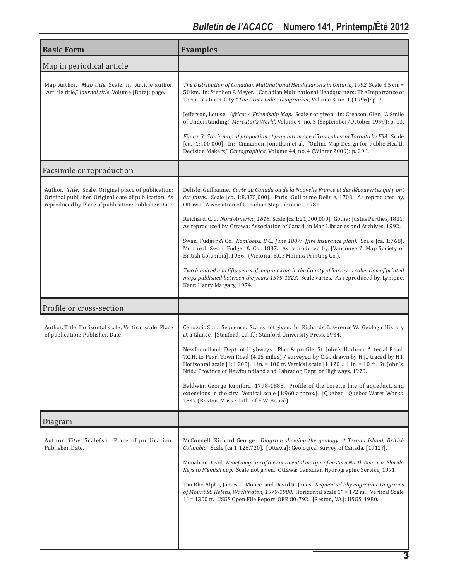| <b>Basic Form</b>                                                                                                                                                     | <b>Examples</b>                                                                                                                                                                                                                                                                                                                                            |
|-----------------------------------------------------------------------------------------------------------------------------------------------------------------------|------------------------------------------------------------------------------------------------------------------------------------------------------------------------------------------------------------------------------------------------------------------------------------------------------------------------------------------------------------|
| Map in periodical article                                                                                                                                             |                                                                                                                                                                                                                                                                                                                                                            |
| Map Author. Map title. Scale. In: Article author.<br>"Article title," Journal title, Volume (Date): page.                                                             | The Distribution of Canadian Multinational Headquarters in Ontario, 1992. Scale 3.5 cm =<br>50 km. In: Stephen P. Meyer. "Canadian Multinational Headquarters: The Importance of<br>Toronto's Inner City, "The Great Lakes Geographer, Volume 3, no. 1 (1996): p. 7.                                                                                       |
|                                                                                                                                                                       | Jefferson, Louise. Africa: A Friendship Map. Scale not given. In: Creason, Glen. "A Smile<br>of Understanding," Mercator's World, Volume 4, no. 5 (September/October 1999): p. 13.                                                                                                                                                                         |
|                                                                                                                                                                       | Figure 3. Static map of proportion of population age 65 and older in Toronto by FSA. Scale<br>[ca. 1:400,000]. In: Cinnamon, Jonathan et al. "Online Map Design for Public-Health<br>Decision Makers," Cartographica, Volume 44, no. 4 (Winter 2009): p. 296.                                                                                              |
| Facsimile or reproduction                                                                                                                                             |                                                                                                                                                                                                                                                                                                                                                            |
| Author. Title. Scale. Original place of publication:<br>Original publisher, Original date of publication. As<br>reproduced by, Place of publication: Publisher, Date. | Delisle, Guillaume. Carte du Canada ou de la Nouvelle France et des découvertes qui y ont<br>été faites. Scale [ca. 1:8,875,000]. Paris: Guillaume Delisle, 1703. As reproduced by,<br>Ottawa: Association of Canadian Map Libraries, 1981.                                                                                                                |
|                                                                                                                                                                       | Reichard, C. G. Nord-America, 1818. Scale [ca 1:21,000,000]. Gotha: Justus Perthes, 1831.<br>As reproduced by, Ottawa: Association of Canadian Map Libraries and Archives, 1992.                                                                                                                                                                           |
|                                                                                                                                                                       | Swan, Fudger & Co. Kamloops, B.C., June 1887: [fire insurance plan]. Scale [ca. 1:768].<br>Montreal: Swan, Fudger & Co., 1887. As reproduced by, [Vancouver?: Map Society of<br>British Columbia], 1986. (Victoria, B.C.: Morriss Printing Co.).                                                                                                           |
|                                                                                                                                                                       | Two hundred and fifty years of map-making in the County of Surrey: a collection of printed<br>maps published between the years 1579-1823. Scale varies. As reproduced by, Lympne,<br>Kent: Harry Margary, 1974.                                                                                                                                            |
| Profile or cross-section                                                                                                                                              |                                                                                                                                                                                                                                                                                                                                                            |
| Author. Title. Horizontal scale; Vertical scale. Place<br>of publication: Publisher, Date.                                                                            | Cenozoic Stata Sequence. Scales not given. In: Richards, Lawrence W. Geologic History<br>at a Glance. [Stanford, Calif.]: Stanford University Press, 1934.                                                                                                                                                                                                 |
|                                                                                                                                                                       | Newfoundland. Dept. of Highways. Plan & profile, St. John's Harbour Arterial Road,<br>T.C.H. to Pearl Town Road (4.35 miles) / surveyed by C.G., drawn by H.J., traced by H.J.<br>Horizontal scale [1:1 200]. 1 in. = 100 ft. Vertical scale [1:120]. 1 in. = 10 ft. St. John's,<br>Nfld.: Province of Newfoundland and Labrador, Dept. of Highways, 1970. |
|                                                                                                                                                                       | Baldwin, George Rumford, 1798-1888. Profile of the Lorette line of aqueduct, and<br>extensions in the city. Vertical scale [1:960 approx.]. [Quebec]: Quebec Water Works,<br>1847 (Boston, Mass.: Lith. of E.W. Bouvé).                                                                                                                                    |
| Diagram                                                                                                                                                               |                                                                                                                                                                                                                                                                                                                                                            |
| Author. Title. Scale(s). Place of publication:<br>Publisher, Date.                                                                                                    | McConnell, Richard George. Diagram showing the geology of Texada Island, British<br>Columbia. Scale [ca 1:126,720]. [Ottawa]: Geological Survey of Canada, [1912?].                                                                                                                                                                                        |
|                                                                                                                                                                       | Monahan, David. Relief diagram of the continental margin of eastern North America: Florida<br>Keys to Flemish Cap. Scale not given. Ottawa: Canadian Hydrographic Service, 1971.                                                                                                                                                                           |
|                                                                                                                                                                       | Tau Rho Alpha, James G. Moore, and David R. Jones. Sequential Physiographic Diagrams<br>of Mount St. Helens, Washington, 1979-1980. Horizontal scale 1" = 1/2 mi.; Vertical Scale<br>1" = 1300 ft. USGS Open File Report, OFR 80-792. [Reston, VA.]: USGS, 1980.                                                                                           |
|                                                                                                                                                                       |                                                                                                                                                                                                                                                                                                                                                            |
|                                                                                                                                                                       |                                                                                                                                                                                                                                                                                                                                                            |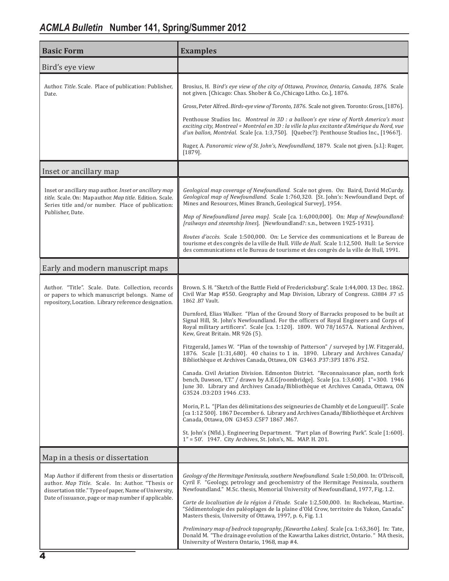| <b>Basic Form</b>                                                                                                                                                                                                         | <b>Examples</b>                                                                                                                                                                                                                                                                                                                                                                                                                                                                                                                                                                                                                                                                                                                                                                                                                                                                                                                                                                                                                                                                                                                                                                                                                                                                                                                                                                                                                                                 |
|---------------------------------------------------------------------------------------------------------------------------------------------------------------------------------------------------------------------------|-----------------------------------------------------------------------------------------------------------------------------------------------------------------------------------------------------------------------------------------------------------------------------------------------------------------------------------------------------------------------------------------------------------------------------------------------------------------------------------------------------------------------------------------------------------------------------------------------------------------------------------------------------------------------------------------------------------------------------------------------------------------------------------------------------------------------------------------------------------------------------------------------------------------------------------------------------------------------------------------------------------------------------------------------------------------------------------------------------------------------------------------------------------------------------------------------------------------------------------------------------------------------------------------------------------------------------------------------------------------------------------------------------------------------------------------------------------------|
| Bird's eye view                                                                                                                                                                                                           |                                                                                                                                                                                                                                                                                                                                                                                                                                                                                                                                                                                                                                                                                                                                                                                                                                                                                                                                                                                                                                                                                                                                                                                                                                                                                                                                                                                                                                                                 |
| Author. Title. Scale. Place of publication: Publisher,<br>Date.                                                                                                                                                           | Brosius, H. Bird's eye view of the city of Ottawa, Province, Ontario, Canada, 1876. Scale<br>not given. [Chicago: Chas. Shober & Co./Chicago Litho. Co.], 1876.                                                                                                                                                                                                                                                                                                                                                                                                                                                                                                                                                                                                                                                                                                                                                                                                                                                                                                                                                                                                                                                                                                                                                                                                                                                                                                 |
|                                                                                                                                                                                                                           | Gross, Peter Alfred. Birds-eye view of Toronto, 1876. Scale not given. Toronto: Gross, [1876].                                                                                                                                                                                                                                                                                                                                                                                                                                                                                                                                                                                                                                                                                                                                                                                                                                                                                                                                                                                                                                                                                                                                                                                                                                                                                                                                                                  |
|                                                                                                                                                                                                                           | Penthouse Studios Inc. Montreal in 3D : a balloon's eye view of North America's most<br>exciting city, Montreal = Montréal en 3D : la ville la plus excitante d'Amérique du Nord, vue<br>d'un ballon, Montréal. Scale [ca. 1:3,750]. [Quebec?]: Penthouse Studios Inc., [1966?].                                                                                                                                                                                                                                                                                                                                                                                                                                                                                                                                                                                                                                                                                                                                                                                                                                                                                                                                                                                                                                                                                                                                                                                |
|                                                                                                                                                                                                                           | Ruger, A. Panoramic view of St. John's, Newfoundland, 1879. Scale not given. [s.l.]: Ruger,<br>$[1879]$ .                                                                                                                                                                                                                                                                                                                                                                                                                                                                                                                                                                                                                                                                                                                                                                                                                                                                                                                                                                                                                                                                                                                                                                                                                                                                                                                                                       |
| Inset or ancillary map                                                                                                                                                                                                    |                                                                                                                                                                                                                                                                                                                                                                                                                                                                                                                                                                                                                                                                                                                                                                                                                                                                                                                                                                                                                                                                                                                                                                                                                                                                                                                                                                                                                                                                 |
| Inset or ancillary map author. Inset or ancillary map<br>title. Scale. On: Map author. Map title. Edition. Scale.<br>Series title and/or number. Place of publication:                                                    | Geological map coverage of Newfoundland. Scale not given. On: Baird, David McCurdy.<br>Geological map of Newfoundland. Scale 1:760,320. [St. John's: Newfoundland Dept. of<br>Mines and Resources, Mines Branch, Geological Survey], 1954.                                                                                                                                                                                                                                                                                                                                                                                                                                                                                                                                                                                                                                                                                                                                                                                                                                                                                                                                                                                                                                                                                                                                                                                                                      |
| Publisher, Date.                                                                                                                                                                                                          | Map of Newfoundland [area map]. Scale [ca. 1:6,000,000]. On: Map of Newfoundland:<br>[railways and steamship lines]. [Newfoundland?: s.n., between 1925-1931].                                                                                                                                                                                                                                                                                                                                                                                                                                                                                                                                                                                                                                                                                                                                                                                                                                                                                                                                                                                                                                                                                                                                                                                                                                                                                                  |
|                                                                                                                                                                                                                           | Routes d'accès. Scale 1:500,000. On: Le Service des communications et le Bureau de<br>tourisme et des congrès de la ville de Hull. <i>Ville de Hull.</i> Scale 1:12,500. Hull: Le Service<br>des communications et le Bureau de tourisme et des congrès de la ville de Hull, 1991.                                                                                                                                                                                                                                                                                                                                                                                                                                                                                                                                                                                                                                                                                                                                                                                                                                                                                                                                                                                                                                                                                                                                                                              |
| Early and modern manuscript maps                                                                                                                                                                                          |                                                                                                                                                                                                                                                                                                                                                                                                                                                                                                                                                                                                                                                                                                                                                                                                                                                                                                                                                                                                                                                                                                                                                                                                                                                                                                                                                                                                                                                                 |
| Author. "Title". Scale. Date. Collection, records<br>or papers to which manuscript belongs. Name of<br>repository, Location. Library reference designation.                                                               | Brown. S. H. "Sketch of the Battle Field of Fredericksburg". Scale 1:44,000. 13 Dec. 1862.<br>Civil War Map #550. Geography and Map Division, Library of Congress. G3884 .F7 s5<br>1862.B7 Vault.<br>Durnford, Elias Walker. "Plan of the Ground Story of Barracks proposed to be built at<br>Signal Hill, St. John's Newfoundland. For the officers of Royal Engineers and Corps of<br>Royal military artificers". Scale [ca. 1:120]. 1809. WO 78/1657A. National Archives,<br>Kew, Great Britain. MR 926 (5).<br>Fitzgerald, James W. "Plan of the township of Patterson" / surveyed by J.W. Fitzgerald,<br>1876. Scale [1:31,680]. 40 chains to 1 in. 1890. Library and Archives Canada/<br>Bibliothèque et Archives Canada, Ottawa, ON G3463.P37:3P3 1876.F52.<br>Canada. Civil Aviation Division. Edmonton District. "Reconnaissance plan, north fork<br>bench, Dawson, Y.T." / drawn by A.E.G[roombridge]. Scale [ca. 1:3,600]. 1"=300. 1946<br>June 30. Library and Archives Canada/Bibliothèque et Archives Canada, Ottawa, ON<br>G3524 .D3:2D3 1946 .C33.<br>Morin, P. L. "[Plan des délimitations des seigneuries de Chambly et de Longueuil]". Scale<br>[ca 1:12 500]. 1867 December 6. Library and Archives Canada/Bibliothèque et Archives<br>Canada, Ottawa, ON G3453.C5F7 1867.M67.<br>St. John's (Nfld.). Engineering Department. "Part plan of Bowring Park". Scale [1:600].<br>$1" = 50'$ . 1947. City Archives, St. John's, NL. MAP. H. 201. |
| Map in a thesis or dissertation                                                                                                                                                                                           |                                                                                                                                                                                                                                                                                                                                                                                                                                                                                                                                                                                                                                                                                                                                                                                                                                                                                                                                                                                                                                                                                                                                                                                                                                                                                                                                                                                                                                                                 |
| Map Author if different from thesis or dissertation<br>author. Map Title. Scale. In: Author. "Thesis or<br>dissertation title." Type of paper, Name of University,<br>Date of issuance, page or map number if applicable. | Geology of the Hermitage Peninsula, southern Newfoundland. Scale 1:50,000. In: O'Driscoll,<br>Cyril F. "Geology, petrology and geochemistry of the Hermitage Peninsula, southern<br>Newfoundland." M.Sc. thesis, Memorial University of Newfoundland, 1977, Fig. 1.2.<br>Carte de localisation de la région à l'étude. Scale 1:2,500,000. In: Rocheleau, Martine.<br>"Sédimentologie des paléoplages de la plaine d'Old Crow, territoire du Yukon, Canada."<br>Masters thesis, University of Ottawa, 1997, p. 6, Fig. 1.1<br>Preliminary map of bedrock topography, [Kawartha Lakes]. Scale [ca. 1:63,360]. In: Tate,<br>Donald M. "The drainage evolution of the Kawartha Lakes district, Ontario. "MA thesis,<br>University of Western Ontario, 1968, map #4.                                                                                                                                                                                                                                                                                                                                                                                                                                                                                                                                                                                                                                                                                                 |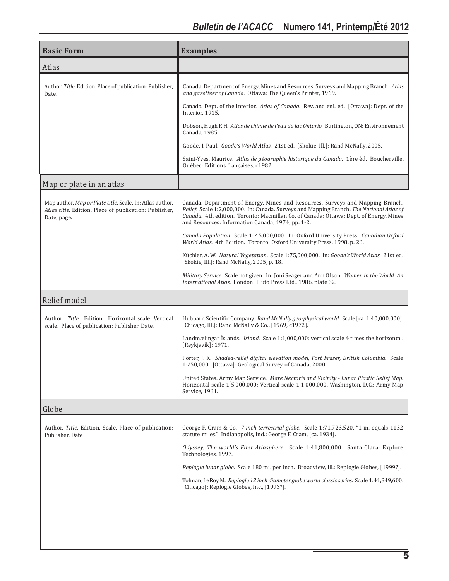| <b>Basic Form</b>                                                                                                                 | <b>Examples</b>                                                                                                                                                                                                                                                                                                          |
|-----------------------------------------------------------------------------------------------------------------------------------|--------------------------------------------------------------------------------------------------------------------------------------------------------------------------------------------------------------------------------------------------------------------------------------------------------------------------|
| Atlas                                                                                                                             |                                                                                                                                                                                                                                                                                                                          |
| Author. Title. Edition. Place of publication: Publisher,<br>Date.                                                                 | Canada. Department of Energy, Mines and Resources. Surveys and Mapping Branch. Atlas<br>and gazetteer of Canada. Ottawa: The Queen's Printer, 1969.                                                                                                                                                                      |
|                                                                                                                                   | Canada. Dept. of the Interior. Atlas of Canada. Rev. and enl. ed. [Ottawa]: Dept. of the<br>Interior, 1915.                                                                                                                                                                                                              |
|                                                                                                                                   | Dobson, Hugh F. H. Atlas de chimie de l'eau du lac Ontario. Burlington, ON: Environnement<br>Canada, 1985.                                                                                                                                                                                                               |
|                                                                                                                                   | Goode, J. Paul. Goode's World Atlas. 21st ed. [Skokie, Ill.]: Rand McNally, 2005.                                                                                                                                                                                                                                        |
|                                                                                                                                   | Saint-Yves, Maurice. Atlas de géographie historique du Canada. 1ère èd. Boucherville,<br>Québec: Editions françaises, c1982.                                                                                                                                                                                             |
| Map or plate in an atlas                                                                                                          |                                                                                                                                                                                                                                                                                                                          |
| Map author. Map or Plate title. Scale. In: Atlas author.<br>Atlas title. Edition. Place of publication: Publisher,<br>Date, page. | Canada. Department of Energy, Mines and Resources, Surveys and Mapping Branch.<br>Relief. Scale 1:2,000,000. In: Canada. Surveys and Mapping Branch. The National Atlas of<br>Canada. 4th edition. Toronto: Macmillan Co. of Canada; Ottawa: Dept. of Energy, Mines<br>and Resources: Information Canada, 1974, pp. 1-2. |
|                                                                                                                                   | Canada Population. Scale 1: 45,000,000. In: Oxford University Press. Canadian Oxford<br>World Atlas. 4th Edition. Toronto: Oxford University Press, 1998, p. 26.                                                                                                                                                         |
|                                                                                                                                   | Küchler, A. W. Natural Vegetation. Scale 1:75,000,000. In: Goode's World Atlas. 21st ed.<br>[Skokie, Ill.]: Rand McNally, 2005, p. 18.                                                                                                                                                                                   |
|                                                                                                                                   | <i>Military Service.</i> Scale not given. In: Joni Seager and Ann Olson. <i>Women in the World: An</i><br>International Atlas. London: Pluto Press Ltd., 1986, plate 32.                                                                                                                                                 |
| Relief model                                                                                                                      |                                                                                                                                                                                                                                                                                                                          |
| Author. Title. Edition. Horizontal scale; Vertical<br>scale. Place of publication: Publisher, Date.                               | Hubbard Scientific Company. Rand McNally geo-physical world. Scale [ca. 1:40,000,000].<br>[Chicago, Ill.]: Rand McNally & Co., [1969, c1972].                                                                                                                                                                            |
|                                                                                                                                   | Landmælingar Íslands. Ísland. Scale 1:1,000,000; vertical scale 4 times the horizontal.<br>[Reykjavík]: 1971.                                                                                                                                                                                                            |
|                                                                                                                                   | Porter, J. K. Shaded-relief digital elevation model, Fort Fraser, British Columbia. Scale<br>1:250,000. [Ottawa]: Geological Survey of Canada, 2000.                                                                                                                                                                     |
|                                                                                                                                   | United States. Army Map Service. Mare Nectaris and Vicinity - Lunar Plastic Relief Map.<br>Horizontal scale 1:5,000,000; Vertical scale 1:1,000,000. Washington, D.C.: Army Map<br>Service, 1961.                                                                                                                        |
| Globe                                                                                                                             |                                                                                                                                                                                                                                                                                                                          |
| Author. Title. Edition. Scale. Place of publication:<br>Publisher, Date                                                           | George F. Cram & Co. 7 inch terrestrial globe. Scale 1:71,723,520. "1 in. equals 1132<br>statute miles." Indianapolis, Ind.: George F. Cram, [ca. 1934].                                                                                                                                                                 |
|                                                                                                                                   | Odyssey, The world's First Atlasphere. Scale 1:41,800,000. Santa Clara: Explore<br>Technologies, 1997.                                                                                                                                                                                                                   |
|                                                                                                                                   | Replogle lunar globe. Scale 180 mi. per inch. Broadview, Ill.: Replogle Globes, [1999?].                                                                                                                                                                                                                                 |
|                                                                                                                                   | Tolman, LeRoy M. Replogle 12 inch diameter globe world classic series. Scale 1:41,849,600.<br>[Chicago]: Replogle Globes, Inc., [1993?].                                                                                                                                                                                 |
|                                                                                                                                   |                                                                                                                                                                                                                                                                                                                          |
|                                                                                                                                   |                                                                                                                                                                                                                                                                                                                          |
|                                                                                                                                   |                                                                                                                                                                                                                                                                                                                          |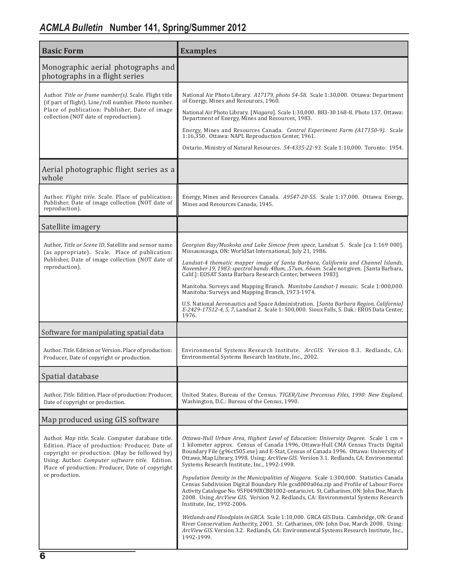| <b>Basic Form</b>                                                                                                                                                                                                                                                                | <b>Examples</b>                                                                                                                                                                                                                                                                                                                                                                                                                                                                                                                                                                                                                                                                                                                                                                                                                                                                                                                                                                                                                                                                                        |
|----------------------------------------------------------------------------------------------------------------------------------------------------------------------------------------------------------------------------------------------------------------------------------|--------------------------------------------------------------------------------------------------------------------------------------------------------------------------------------------------------------------------------------------------------------------------------------------------------------------------------------------------------------------------------------------------------------------------------------------------------------------------------------------------------------------------------------------------------------------------------------------------------------------------------------------------------------------------------------------------------------------------------------------------------------------------------------------------------------------------------------------------------------------------------------------------------------------------------------------------------------------------------------------------------------------------------------------------------------------------------------------------------|
| Monographic aerial photographs and<br>photographs in a flight series                                                                                                                                                                                                             |                                                                                                                                                                                                                                                                                                                                                                                                                                                                                                                                                                                                                                                                                                                                                                                                                                                                                                                                                                                                                                                                                                        |
| Author. Title or frame number(s). Scale. Flight title<br>(if part of flight). Line/roll number. Photo number.<br>Place of publication: Publisher, Date of image<br>collection (NOT date of reproduction).                                                                        | National Air Photo Library. A17179, photo 54-58. Scale 1:30,000. Ottawa: Department<br>of Energy, Mines and Resources, 1960.<br>National Air Photo Library. [Niagara]. Scale 1:30,000. B83-30 168-8. Photo 137. Ottawa:<br>Department of Energy, Mines and Resources, 1983.<br>Energy, Mines and Resources Canada. Central Experiment Farm (A17150-9). Scale<br>1:16,350. Ottawa: NAPL Reproduction Center, 1961.<br>Ontario. Ministry of Natural Resources. 54-4335-22-93. Scale 1:10,000. Toronto: 1954.                                                                                                                                                                                                                                                                                                                                                                                                                                                                                                                                                                                             |
| Aerial photographic flight series as a<br>whole                                                                                                                                                                                                                                  |                                                                                                                                                                                                                                                                                                                                                                                                                                                                                                                                                                                                                                                                                                                                                                                                                                                                                                                                                                                                                                                                                                        |
| Author. <i>Flight title</i> . Scale. Place of publication:<br>Publisher, Date of image collection (NOT date of<br>reproduction).                                                                                                                                                 | Energy, Mines and Resources Canada. A9547-20-55. Scale 1:17,000. Ottawa: Energy,<br>Mines and Resources Canada, 1945.                                                                                                                                                                                                                                                                                                                                                                                                                                                                                                                                                                                                                                                                                                                                                                                                                                                                                                                                                                                  |
| Satellite imagery                                                                                                                                                                                                                                                                |                                                                                                                                                                                                                                                                                                                                                                                                                                                                                                                                                                                                                                                                                                                                                                                                                                                                                                                                                                                                                                                                                                        |
| Author, Title or Scene ID, Satellite and sensor name<br>(as appropriate). Scale. Place of publication:<br>Publisher, Date of image collection (NOT date of<br>reproduction).                                                                                                     | Georgian Bay/Muskoka and Lake Simcoe from space, Landsat 5. Scale [ca 1:169 000].<br>Missaussauga, ON: WorldSat International, July 21, 1986.<br>Landsat-4 thematic mapper image of Santa Barbara, California and Channel Islands,<br>November 19, 1983: spectral bands .48um, .57um, .66um. Scale not given. [Santa Barbara,<br>Calif.]: EOSAT Santa Barbara Research Center, between 1983].<br>Manitoba. Surveys and Mapping Branch. Manitoba Landsat-1 mosaic. Scale 1:000,000.<br>Manitoba: Surveys and Mapping Branch, 1973-1974.<br>U.S. National Aeronautics and Space Administration. [Santa Barbara Region, California]<br>E-2429-17512-4, 5, 7, Landsat 2. Scale 1: 500,000. Sioux Falls, S. Dak.: EROS Data Center,<br>1976.                                                                                                                                                                                                                                                                                                                                                                |
| Software for manipulating spatial data                                                                                                                                                                                                                                           |                                                                                                                                                                                                                                                                                                                                                                                                                                                                                                                                                                                                                                                                                                                                                                                                                                                                                                                                                                                                                                                                                                        |
| Author. Title. Edition or Version. Place of production:<br>Producer, Date of copyright or production.                                                                                                                                                                            | Environmental Systems Research Institute. ArcGIS. Version 8.3. Redlands, CA:<br>Environmental Systems Research Institute, Inc., 2002.                                                                                                                                                                                                                                                                                                                                                                                                                                                                                                                                                                                                                                                                                                                                                                                                                                                                                                                                                                  |
| Spatial database                                                                                                                                                                                                                                                                 |                                                                                                                                                                                                                                                                                                                                                                                                                                                                                                                                                                                                                                                                                                                                                                                                                                                                                                                                                                                                                                                                                                        |
| Author. Title. Edition. Place of production: Producer,<br>Date of copyright or production.                                                                                                                                                                                       | United States. Bureau of the Census. TIGER/Line Precensus Files, 1990: New England.<br>Washington, D.C.: Bureau of the Census, 1990.                                                                                                                                                                                                                                                                                                                                                                                                                                                                                                                                                                                                                                                                                                                                                                                                                                                                                                                                                                   |
| Map produced using GIS software                                                                                                                                                                                                                                                  |                                                                                                                                                                                                                                                                                                                                                                                                                                                                                                                                                                                                                                                                                                                                                                                                                                                                                                                                                                                                                                                                                                        |
| Author. Map title. Scale. Computer database title.<br>Edition. Place of production: Producer, Date of<br>copyright or production. (May be followed by)<br>Using: Author. Computer software title. Edition.<br>Place of production: Producer, Date of copyright<br>or production. | Ottawa-Hull Urban Area, Highest Level of Education: University Degree. Scale 1 cm =<br>1 kilometer approx. Census of Canada 1996, Ottawa-Hull CMA Census Tracts Digital<br>Boundary File (g96ct505.exe) and E-Stat, Census of Canada 1996. Ottawa: University of<br>Ottawa, Map Library, 1998. Using: ArcView GIS. Version 3.1. Redlands, CA: Environmental<br>Systems Research Institute, Inc., 1992-1998.<br>Population Density in the Municipalities of Niagara. Scale 1:300,000. Statistics Canada<br>Census Subdivision Digital Boundary File gcsd000a06a.zip and Profile of Labour Force<br>Activity Catalogue No. 95F0490XCB01002-ontario.ivt. St. Catharines, ON: John Doe, March<br>2008. Using ArcView GIS. Version 9.2. Redlands, CA: Environmental Systems Research<br>Institute, Inc, 1992-2006.<br>Wetlands and Floodplain in GRCA. Scale 1:10,000. GRCA GIS Data. Cambridge, ON: Grand<br>River Conservation Authority, 2001. St. Catharines, ON: John Doe, March 2008. Using:<br>ArcView GIS. Version 3.2. Redlands, CA: Environmental Systems Research Institute, Inc.,<br>1992-1999. |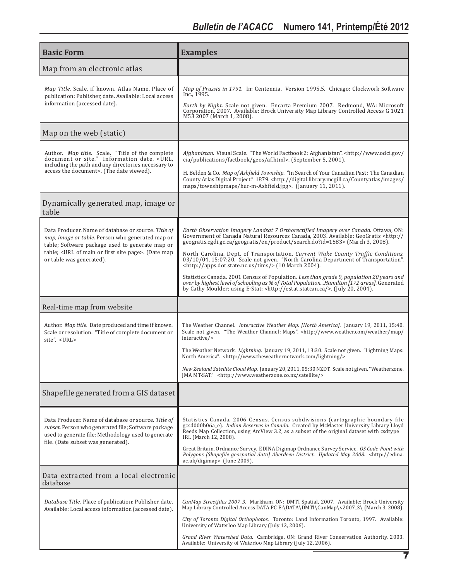| <b>Basic Form</b>                                                                                                                                                                                                                             | <b>Examples</b>                                                                                                                                                                                                                                                                                                                                                                                                                                                                                                                                                                                                                                                                                                                                                                                                 |
|-----------------------------------------------------------------------------------------------------------------------------------------------------------------------------------------------------------------------------------------------|-----------------------------------------------------------------------------------------------------------------------------------------------------------------------------------------------------------------------------------------------------------------------------------------------------------------------------------------------------------------------------------------------------------------------------------------------------------------------------------------------------------------------------------------------------------------------------------------------------------------------------------------------------------------------------------------------------------------------------------------------------------------------------------------------------------------|
| Map from an electronic atlas                                                                                                                                                                                                                  |                                                                                                                                                                                                                                                                                                                                                                                                                                                                                                                                                                                                                                                                                                                                                                                                                 |
| Map Title. Scale, if known. Atlas Name. Place of<br>publication: Publisher, date. Available: Local access<br>information (accessed date).                                                                                                     | <i>Map of Prussia in 1791.</i> In: Centennia. Version 1995.5. Chicago: Clockwork Software<br>Inc., 1995.<br>Earth by Night. Scale not given. Encarta Premium 2007. Redmond, WA: Microsoft<br>Corporation, 2007. Available: Brock University Map Library Controlled Access G 1021<br>M53 2007 (March 1, 2008).                                                                                                                                                                                                                                                                                                                                                                                                                                                                                                   |
| Map on the web (static)                                                                                                                                                                                                                       |                                                                                                                                                                                                                                                                                                                                                                                                                                                                                                                                                                                                                                                                                                                                                                                                                 |
| Author. Map title. Scale. "Title of the complete<br>document or site." Information date. < URL,<br>including the path and any directories necessary to<br>access the document>. (The date viewed).                                            | Afghanistan. Visual Scale. "The World Factbook 2: Afghanistan". <http: <br="" www.odci.gov="">cia/publications/factbook/geos/af.html&gt;. (September 5, 2001).<br/>H. Belden &amp; Co. <i>Map of Ashfield Township.</i> "In Search of Your Canadian Past: The Canadian<br/>County Atlas Digital Project." 1879.<http: <br="" countyatlas="" digital.library.mcgill.ca="" images="">maps/townshipmaps/hur-m-Ashfield.jpg&gt;. (January 11, 2011).</http:></http:>                                                                                                                                                                                                                                                                                                                                                |
| Dynamically generated map, image or<br>table                                                                                                                                                                                                  |                                                                                                                                                                                                                                                                                                                                                                                                                                                                                                                                                                                                                                                                                                                                                                                                                 |
| Data Producer. Name of database or source. Title of<br>map, image or table. Person who generated map or<br>table; Software package used to generate map or<br>table; < URL of main or first site page>. (Date map<br>or table was generated). | Earth Observation Imagery Landsat 7 Orthorectified Imagery over Canada. Ottawa, ON:<br>Government of Canada Natural Resources Canada, 2003. Available: GeoGratis <http: <br="">geogratis.cgdi.gc.ca/geogratis/en/product/search.do?id=1583&gt; (March 3, 2008).<br/>North Carolina. Dept. of Transportation. Current Wake County Traffic Conditions.<br/>03/10/04, 15:07:20. Scale not given. "North Carolina Department of Transportation".<br/><http: apps.dot.state.nc.us="" tims=""></http:> (10 March 2004).<br/>Statistics Canada. 2001 Census of Population. Less than grade 9, population 20 years and<br/>over by highest level of schooling as % of Total PopulationHamilton [172 areas]. Generated<br/>by Cathy Moulder; using E-Stat; <http: estat.statcan.ca=""></http:>. (July 20, 2004).</http:> |
| Real-time map from website                                                                                                                                                                                                                    |                                                                                                                                                                                                                                                                                                                                                                                                                                                                                                                                                                                                                                                                                                                                                                                                                 |
| Author. Map title. Date produced and time if known.<br>Scale or resolution. "Title of complete document or<br>site". <url></url>                                                                                                              | The Weather Channel. Interactive Weather Map: [North America]. January 19, 2011, 15:40.<br>Scale not given. "The Weather Channel: Maps". <http: <br="" map="" weather="" www.weather.com="">interactive/&gt;<br/>The Weather Network. <i>Lightning.</i> January 19, 2011, 13:30. Scale not given. "Lightning Maps:<br/>North America". <http: lightning="" www.theweathernetwork.com=""></http:><br/>New Zealand Satellite Cloud Map. January 20, 2011, 05:30 NZDT. Scale not given. "Weatherzone.<br/>JMA MT-SAT." <http: satellite="" www.weatherzone.co.nz=""></http:></http:>                                                                                                                                                                                                                               |
| Shapefile generated from a GIS dataset                                                                                                                                                                                                        |                                                                                                                                                                                                                                                                                                                                                                                                                                                                                                                                                                                                                                                                                                                                                                                                                 |
| Data Producer. Name of database or source. Title of<br>subset. Person who generated file; Software package<br>used to generate file; Methodology used to generate<br>file. (Date subset was generated).                                       | Statistics Canada. 2006 Census. Census subdivisions (cartographic boundary file<br>gcsd000b06a_e). Indian Reserves in Canada. Created by McMaster University Library Lloyd<br>Reeds Map Collection, using ArcView 3.2, as a subset of the original dataset with csdtype =<br>IRI. (March 12, 2008).<br>Great Britain. Ordnance Survey. EDINA Digimap Ordnance Survey Service. OS Code-Point with<br>Polygons [Shapefile geospatial data] Aberdeen District. Updated May 2008. <http: edina.<br="">ac.uk/digimap&gt; (June 2009).</http:>                                                                                                                                                                                                                                                                        |
| Data extracted from a local electronic<br>database                                                                                                                                                                                            |                                                                                                                                                                                                                                                                                                                                                                                                                                                                                                                                                                                                                                                                                                                                                                                                                 |
| Database Title. Place of publication: Publisher, date.<br>Available: Local access information (accessed date).                                                                                                                                | CanMap Streetfiles 2007_3. Markham, ON: DMTI Spatial, 2007. Available: Brock University<br>Map Library Controlled Access DATA PC E:\DATA\DMTI\CanMap\v2007_3\ (March 3, 2008).<br>City of Toronto Digital Orthophotos. Toronto: Land Information Toronto, 1997. Available:<br>University of Waterloo Map Library (July 12, 2006).<br>Grand River Watershed Data. Cambridge, ON: Grand River Conservation Authority, 2003.<br>Available: University of Waterloo Map Library (July 12, 2006).                                                                                                                                                                                                                                                                                                                     |